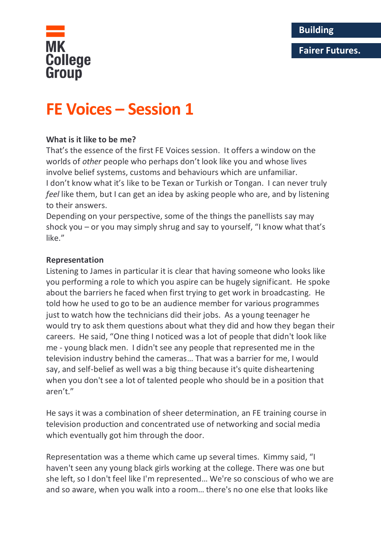# **Fairer Futures.**



# **FE Voices – Session 1**

# **What is it like to be me?**

That's the essence of the first FE Voices session. It offers a window on the worlds of *other* people who perhaps don't look like you and whose lives involve belief systems, customs and behaviours which are unfamiliar. I don't know what it's like to be Texan or Turkish or Tongan. I can never truly *feel* like them, but I can get an idea by asking people who are, and by listening to their answers.

Depending on your perspective, some of the things the panellists say may shock you – or you may simply shrug and say to yourself, "I know what that's like."

#### **Representation**

Listening to James in particular it is clear that having someone who looks like you performing a role to which you aspire can be hugely significant. He spoke about the barriers he faced when first trying to get work in broadcasting. He told how he used to go to be an audience member for various programmes just to watch how the technicians did their jobs. As a young teenager he would try to ask them questions about what they did and how they began their careers. He said, "One thing I noticed was a lot of people that didn't look like me - young black men. I didn't see any people that represented me in the television industry behind the cameras… That was a barrier for me, I would say, and self-belief as well was a big thing because it's quite disheartening when you don't see a lot of talented people who should be in a position that aren't."

He says it was a combination of sheer determination, an FE training course in television production and concentrated use of networking and social media which eventually got him through the door.

Representation was a theme which came up several times. Kimmy said, "I haven't seen any young black girls working at the college. There was one but she left, so I don't feel like I'm represented… We're so conscious of who we are and so aware, when you walk into a room… there's no one else that looks like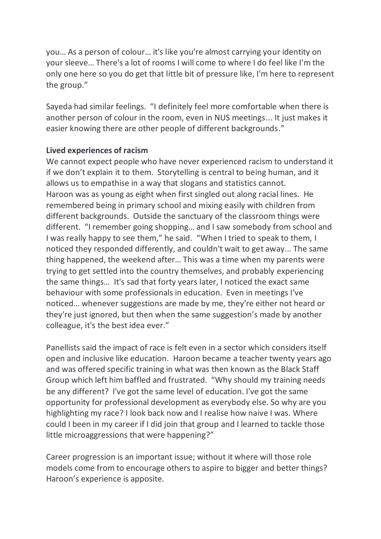you… As a person of colour… it's like you're almost carrying your identity on your sleeve… There's a lot of rooms I will come to where I do feel like I'm the only one here so you do get that little bit of pressure like, I'm here to represent the group."

Sayeda had similar feelings. "I definitely feel more comfortable when there is another person of colour in the room, even in NUS meetings... It just makes it easier knowing there are other people of different backgrounds."

# **Lived experiences of racism**

We cannot expect people who have never experienced racism to understand it if we don't explain it to them. Storytelling is central to being human, and it allows us to empathise in a way that slogans and statistics cannot. Haroon was as young as eight when first singled out along racial lines. He remembered being in primary school and mixing easily with children from different backgrounds. Outside the sanctuary of the classroom things were different. "I remember going shopping… and I saw somebody from school and I was really happy to see them," he said. "When I tried to speak to them, I noticed they responded differently, and couldn't wait to get away... The same thing happened, the weekend after… This was a time when my parents were trying to get settled into the country themselves, and probably experiencing the same things… It's sad that forty years later, I noticed the exact same behaviour with some professionals in education. Even in meetings I've noticed… whenever suggestions are made by me, they're either not heard or they're just ignored, but then when the same suggestion's made by another colleague, it's the best idea ever."

Panellists said the impact of race is felt even in a sector which considers itself open and inclusive like education. Haroon became a teacher twenty years ago and was offered specific training in what was then known as the Black Staff Group which left him baffled and frustrated. "Why should my training needs be any different? I've got the same level of education. I've got the same opportunity for professional development as everybody else. So why are you highlighting my race? I look back now and I realise how naive I was. Where could I been in my career if I did join that group and I learned to tackle those little microaggressions that were happening?"

Career progression is an important issue; without it where will those role models come from to encourage others to aspire to bigger and better things? Haroon's experience is apposite.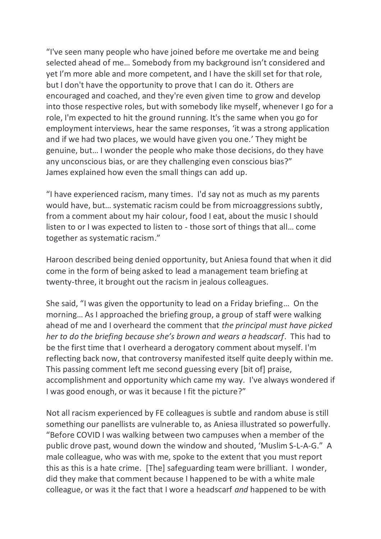"I've seen many people who have joined before me overtake me and being selected ahead of me… Somebody from my background isn't considered and yet I'm more able and more competent, and I have the skill set for that role, but I don't have the opportunity to prove that I can do it. Others are encouraged and coached, and they're even given time to grow and develop into those respective roles, but with somebody like myself, whenever I go for a role, I'm expected to hit the ground running. It's the same when you go for employment interviews, hear the same responses, 'it was a strong application and if we had two places, we would have given you one.' They might be genuine, but… I wonder the people who make those decisions, do they have any unconscious bias, or are they challenging even conscious bias?" James explained how even the small things can add up.

"I have experienced racism, many times. I'd say not as much as my parents would have, but… systematic racism could be from microaggressions subtly, from a comment about my hair colour, food I eat, about the music I should listen to or I was expected to listen to - those sort of things that all… come together as systematic racism."

Haroon described being denied opportunity, but Aniesa found that when it did come in the form of being asked to lead a management team briefing at twenty-three, it brought out the racism in jealous colleagues.

She said, "I was given the opportunity to lead on a Friday briefing… On the morning… As I approached the briefing group, a group of staff were walking ahead of me and I overheard the comment that *the principal must have picked her to do the briefing because she's brown and wears a headscarf*. This had to be the first time that I overheard a derogatory comment about myself. I'm reflecting back now, that controversy manifested itself quite deeply within me. This passing comment left me second guessing every [bit of] praise, accomplishment and opportunity which came my way. I've always wondered if I was good enough, or was it because I fit the picture?"

Not all racism experienced by FE colleagues is subtle and random abuse is still something our panellists are vulnerable to, as Aniesa illustrated so powerfully. "Before COVID I was walking between two campuses when a member of the public drove past, wound down the window and shouted, 'Muslim S-L-A-G." A male colleague, who was with me, spoke to the extent that you must report this as this is a hate crime. [The] safeguarding team were brilliant. I wonder, did they make that comment because I happened to be with a white male colleague, or was it the fact that I wore a headscarf *and* happened to be with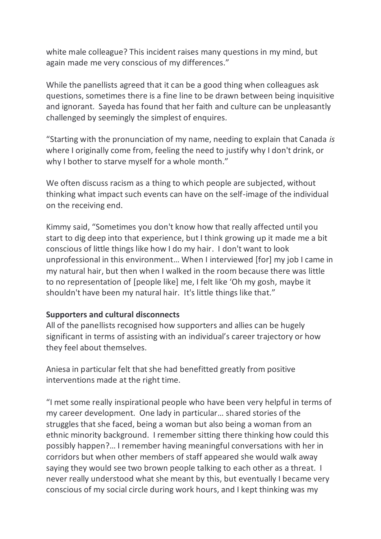white male colleague? This incident raises many questions in my mind, but again made me very conscious of my differences."

While the panellists agreed that it can be a good thing when colleagues ask questions, sometimes there is a fine line to be drawn between being inquisitive and ignorant. Sayeda has found that her faith and culture can be unpleasantly challenged by seemingly the simplest of enquires.

"Starting with the pronunciation of my name, needing to explain that Canada *is* where I originally come from, feeling the need to justify why I don't drink, or why I bother to starve myself for a whole month."

We often discuss racism as a thing to which people are subjected, without thinking what impact such events can have on the self-image of the individual on the receiving end.

Kimmy said, "Sometimes you don't know how that really affected until you start to dig deep into that experience, but I think growing up it made me a bit conscious of little things like how I do my hair. I don't want to look unprofessional in this environment… When I interviewed [for] my job I came in my natural hair, but then when I walked in the room because there was little to no representation of [people like] me, I felt like 'Oh my gosh, maybe it shouldn't have been my natural hair. It's little things like that."

# **Supporters and cultural disconnects**

All of the panellists recognised how supporters and allies can be hugely significant in terms of assisting with an individual's career trajectory or how they feel about themselves.

Aniesa in particular felt that she had benefitted greatly from positive interventions made at the right time.

"I met some really inspirational people who have been very helpful in terms of my career development. One lady in particular… shared stories of the struggles that she faced, being a woman but also being a woman from an ethnic minority background. I remember sitting there thinking how could this possibly happen?… I remember having meaningful conversations with her in corridors but when other members of staff appeared she would walk away saying they would see two brown people talking to each other as a threat. I never really understood what she meant by this, but eventually I became very conscious of my social circle during work hours, and I kept thinking was my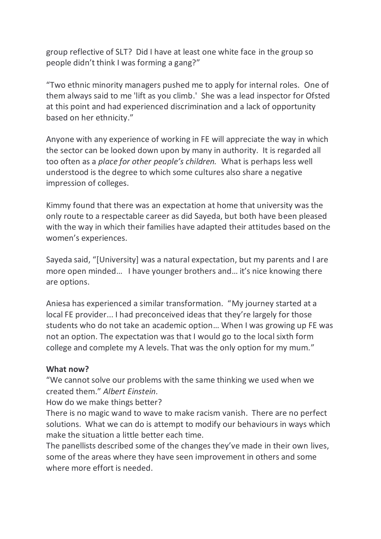group reflective of SLT? Did I have at least one white face in the group so people didn't think I was forming a gang?"

"Two ethnic minority managers pushed me to apply for internal roles. One of them always said to me 'lift as you climb.' She was a lead inspector for Ofsted at this point and had experienced discrimination and a lack of opportunity based on her ethnicity."

Anyone with any experience of working in FE will appreciate the way in which the sector can be looked down upon by many in authority. It is regarded all too often as a *place for other people's children.* What is perhaps less well understood is the degree to which some cultures also share a negative impression of colleges.

Kimmy found that there was an expectation at home that university was the only route to a respectable career as did Sayeda, but both have been pleased with the way in which their families have adapted their attitudes based on the women's experiences.

Sayeda said, "[University] was a natural expectation, but my parents and I are more open minded… I have younger brothers and… it's nice knowing there are options.

Aniesa has experienced a similar transformation. "My journey started at a local FE provider... I had preconceived ideas that they're largely for those students who do not take an academic option… When I was growing up FE was not an option. The expectation was that I would go to the local sixth form college and complete my A levels. That was the only option for my mum."

# **What now?**

"We cannot solve our problems with the same thinking we used when we created them." *Albert Einstein.*

How do we make things better?

There is no magic wand to wave to make racism vanish. There are no perfect solutions. What we can do is attempt to modify our behaviours in ways which make the situation a little better each time.

The panellists described some of the changes they've made in their own lives, some of the areas where they have seen improvement in others and some where more effort is needed.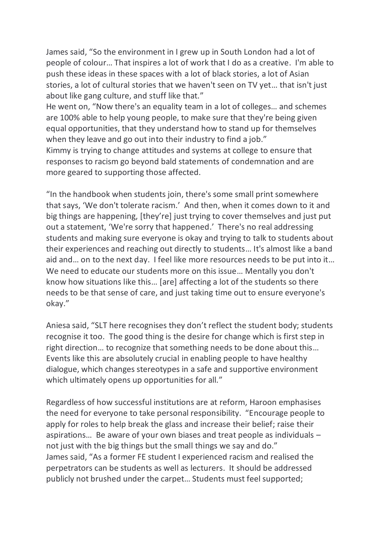James said, "So the environment in I grew up in South London had a lot of people of colour… That inspires a lot of work that I do as a creative. I'm able to push these ideas in these spaces with a lot of black stories, a lot of Asian stories, a lot of cultural stories that we haven't seen on TV yet… that isn't just about like gang culture, and stuff like that."

He went on, "Now there's an equality team in a lot of colleges… and schemes are 100% able to help young people, to make sure that they're being given equal opportunities, that they understand how to stand up for themselves when they leave and go out into their industry to find a job."

Kimmy is trying to change attitudes and systems at college to ensure that responses to racism go beyond bald statements of condemnation and are more geared to supporting those affected.

"In the handbook when students join, there's some small print somewhere that says, 'We don't tolerate racism.' And then, when it comes down to it and big things are happening, [they're] just trying to cover themselves and just put out a statement, 'We're sorry that happened.' There's no real addressing students and making sure everyone is okay and trying to talk to students about their experiences and reaching out directly to students… It's almost like a band aid and… on to the next day. I feel like more resources needs to be put into it… We need to educate our students more on this issue… Mentally you don't know how situations like this… [are] affecting a lot of the students so there needs to be that sense of care, and just taking time out to ensure everyone's okay."

Aniesa said, "SLT here recognises they don't reflect the student body; students recognise it too. The good thing is the desire for change which is first step in right direction… to recognize that something needs to be done about this… Events like this are absolutely crucial in enabling people to have healthy dialogue, which changes stereotypes in a safe and supportive environment which ultimately opens up opportunities for all."

Regardless of how successful institutions are at reform, Haroon emphasises the need for everyone to take personal responsibility. "Encourage people to apply for roles to help break the glass and increase their belief; raise their aspirations… Be aware of your own biases and treat people as individuals – not just with the big things but the small things we say and do." James said, "As a former FE student I experienced racism and realised the perpetrators can be students as well as lecturers. It should be addressed publicly not brushed under the carpet… Students must feel supported;